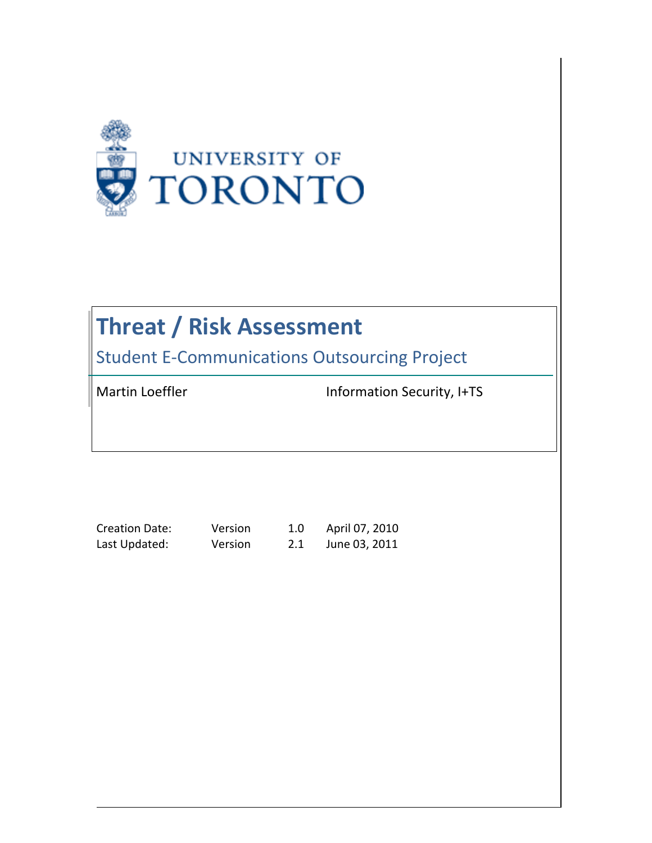

# **Threat / Risk Assessment**

**Student E-Communications Outsourcing Project** 

Martin Loeffler **Information** Security, I+TS

Creation Date: Version 1.0 April 07, 2010

Last Updated: Version 2.1 June 03, 2011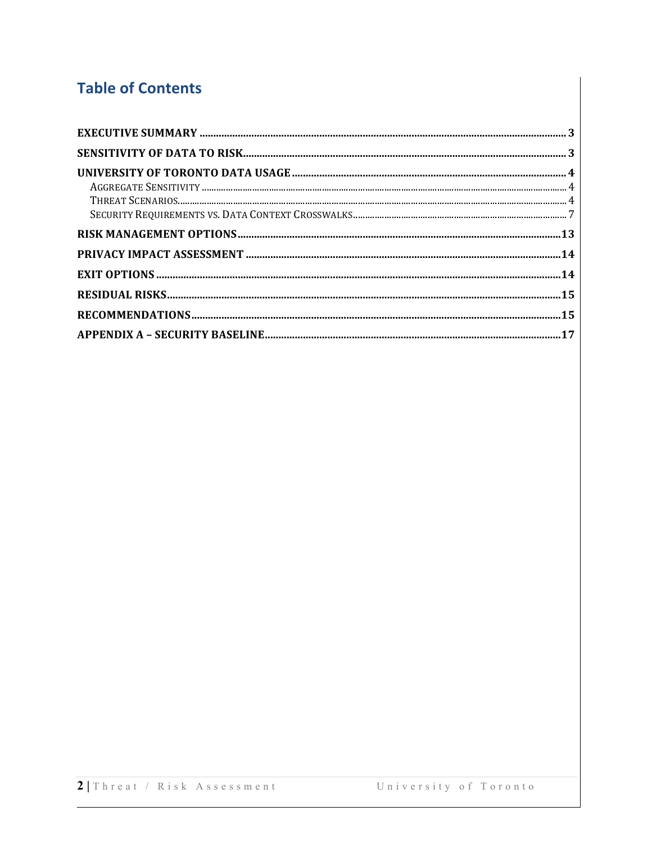# **Table of Contents**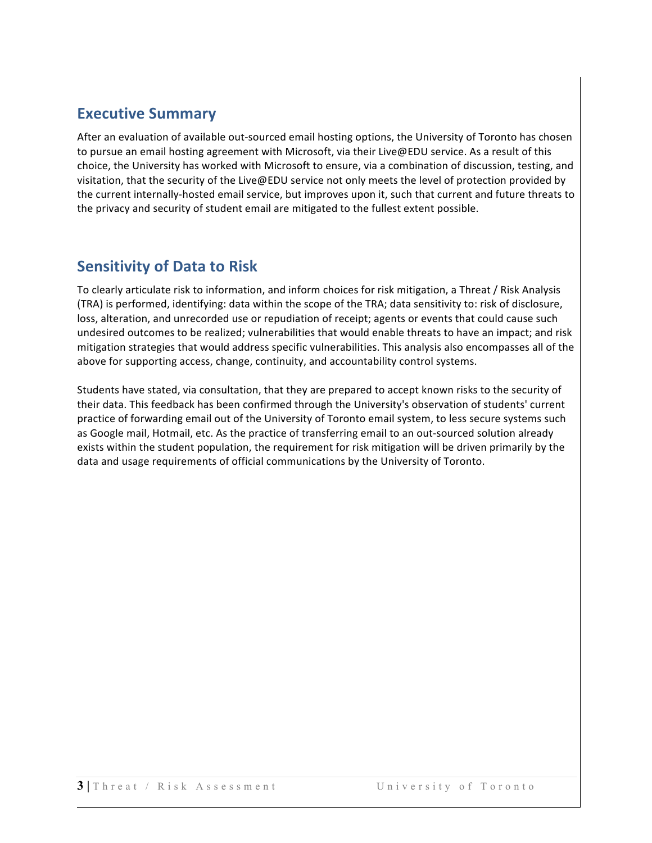### **Executive Summary**

After an evaluation of available out-sourced email hosting options, the University of Toronto has chosen to pursue an email hosting agreement with Microsoft, via their Live@EDU service. As a result of this choice, the University has worked with Microsoft to ensure, via a combination of discussion, testing, and visitation, that the security of the Live@EDU service not only meets the level of protection provided by the current internally-hosted email service, but improves upon it, such that current and future threats to the privacy and security of student email are mitigated to the fullest extent possible.

### **Sensitivity of Data to Risk**

To clearly articulate risk to information, and inform choices for risk mitigation, a Threat / Risk Analysis (TRA) is performed, identifying: data within the scope of the TRA; data sensitivity to: risk of disclosure, loss, alteration, and unrecorded use or repudiation of receipt; agents or events that could cause such undesired outcomes to be realized; vulnerabilities that would enable threats to have an impact; and risk mitigation strategies that would address specific vulnerabilities. This analysis also encompasses all of the above for supporting access, change, continuity, and accountability control systems.

Students have stated, via consultation, that they are prepared to accept known risks to the security of their data. This feedback has been confirmed through the University's observation of students' current practice of forwarding email out of the University of Toronto email system, to less secure systems such as Google mail, Hotmail, etc. As the practice of transferring email to an out-sourced solution already exists within the student population, the requirement for risk mitigation will be driven primarily by the data and usage requirements of official communications by the University of Toronto.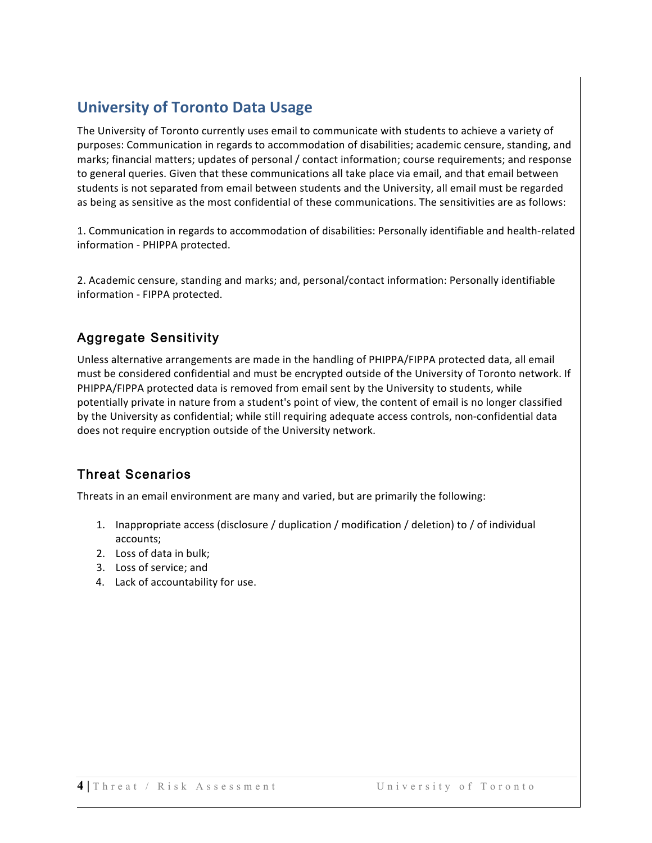# **University of Toronto Data Usage**

The University of Toronto currently uses email to communicate with students to achieve a variety of purposes: Communication in regards to accommodation of disabilities; academic censure, standing, and marks; financial matters; updates of personal / contact information; course requirements; and response to general queries. Given that these communications all take place via email, and that email between students is not separated from email between students and the University, all email must be regarded as being as sensitive as the most confidential of these communications. The sensitivities are as follows:

1. Communication in regards to accommodation of disabilities: Personally identifiable and health-related information - PHIPPA protected.

2. Academic censure, standing and marks; and, personal/contact information: Personally identifiable information - FIPPA protected.

### Aggregate Sensitivity

Unless alternative arrangements are made in the handling of PHIPPA/FIPPA protected data, all email must be considered confidential and must be encrypted outside of the University of Toronto network. If PHIPPA/FIPPA protected data is removed from email sent by the University to students, while potentially private in nature from a student's point of view, the content of email is no longer classified by the University as confidential; while still requiring adequate access controls, non-confidential data does not require encryption outside of the University network.

### Threat Scenarios

Threats in an email environment are many and varied, but are primarily the following:

- 1. Inappropriate access (disclosure / duplication / modification / deletion) to / of individual accounts;
- 2. Loss of data in bulk;
- 3. Loss of service; and
- 4. Lack of accountability for use.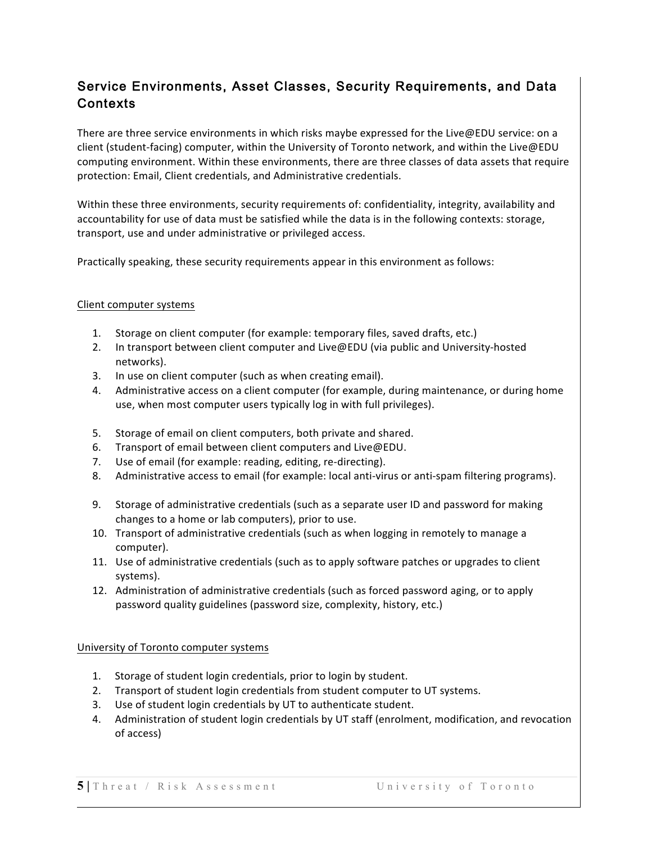### Service Environments, Asset Classes, Security Requirements, and Data Contexts

There are three service environments in which risks maybe expressed for the Live@EDU service: on a client (student-facing) computer, within the University of Toronto network, and within the Live@EDU computing environment. Within these environments, there are three classes of data assets that require protection: Email, Client credentials, and Administrative credentials.

Within these three environments, security requirements of: confidentiality, integrity, availability and accountability for use of data must be satisfied while the data is in the following contexts: storage, transport, use and under administrative or privileged access.

Practically speaking, these security requirements appear in this environment as follows:

#### Client computer systems

- 1. Storage on client computer (for example: temporary files, saved drafts, etc.)
- 2. In transport between client computer and Live@EDU (via public and University-hosted networks).
- 3. In use on client computer (such as when creating email).
- 4. Administrative access on a client computer (for example, during maintenance, or during home use, when most computer users typically log in with full privileges).
- 5. Storage of email on client computers, both private and shared.
- 6. Transport of email between client computers and Live@EDU.
- 7. Use of email (for example: reading, editing, re-directing).
- 8. Administrative access to email (for example: local anti-virus or anti-spam filtering programs).
- 9. Storage of administrative credentials (such as a separate user ID and password for making changes to a home or lab computers), prior to use.
- 10. Transport of administrative credentials (such as when logging in remotely to manage a computer).
- 11. Use of administrative credentials (such as to apply software patches or upgrades to client systems).
- 12. Administration of administrative credentials (such as forced password aging, or to apply password quality guidelines (password size, complexity, history, etc.)

#### University of Toronto computer systems

- 1. Storage of student login credentials, prior to login by student.
- 2. Transport of student login credentials from student computer to UT systems.
- 3. Use of student login credentials by UT to authenticate student.
- 4. Administration of student login credentials by UT staff (enrolment, modification, and revocation of access)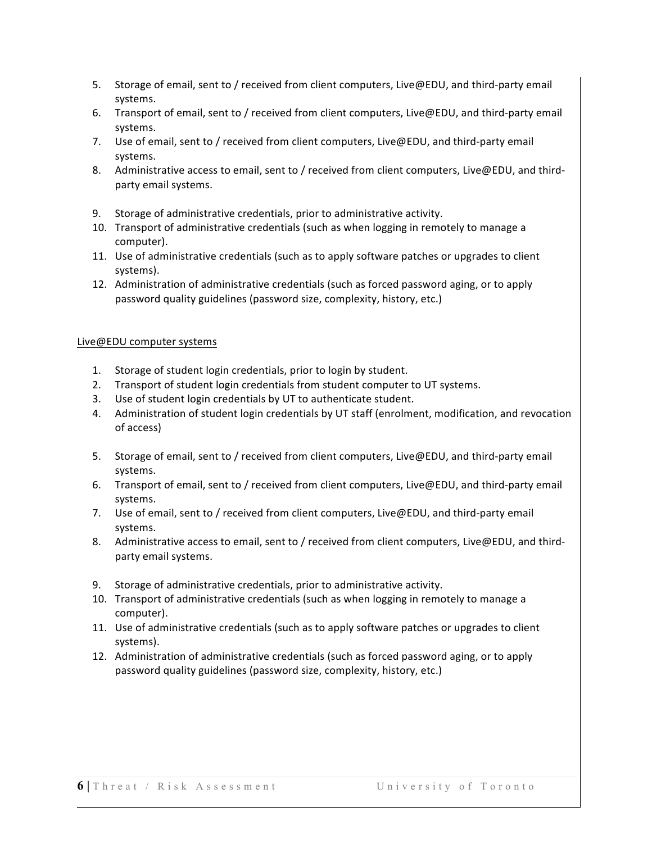- 5. Storage of email, sent to / received from client computers, Live@EDU, and third-party email systems.
- 6. Transport of email, sent to / received from client computers, Live@EDU, and third-party email systems.
- 7. Use of email, sent to / received from client computers, Live@EDU, and third-party email systems.
- 8. Administrative access to email, sent to / received from client computers, Live@EDU, and thirdparty email systems.
- 9. Storage of administrative credentials, prior to administrative activity.
- 10. Transport of administrative credentials (such as when logging in remotely to manage a computer).
- 11. Use of administrative credentials (such as to apply software patches or upgrades to client systems).
- 12. Administration of administrative credentials (such as forced password aging, or to apply password quality guidelines (password size, complexity, history, etc.)

#### Live@EDU computer systems

- 1. Storage of student login credentials, prior to login by student.
- 2. Transport of student login credentials from student computer to UT systems.
- 3. Use of student login credentials by UT to authenticate student.
- 4. Administration of student login credentials by UT staff (enrolment, modification, and revocation of access)
- 5. Storage of email, sent to / received from client computers, Live@EDU, and third-party email systems.
- 6. Transport of email, sent to / received from client computers, Live@EDU, and third-party email systems.
- 7. Use of email, sent to / received from client computers, Live@EDU, and third-party email systems.
- 8. Administrative access to email, sent to / received from client computers, Live@EDU, and thirdparty email systems.
- 9. Storage of administrative credentials, prior to administrative activity.
- 10. Transport of administrative credentials (such as when logging in remotely to manage a computer).
- 11. Use of administrative credentials (such as to apply software patches or upgrades to client systems).
- 12. Administration of administrative credentials (such as forced password aging, or to apply password quality guidelines (password size, complexity, history, etc.)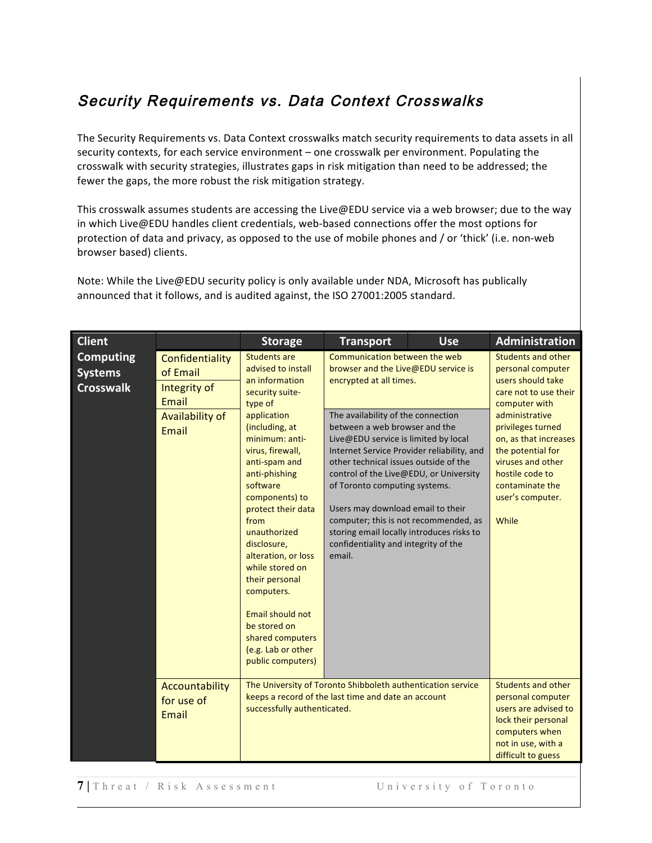# Security Requirements vs. Data Context Crosswalks

The Security Requirements vs. Data Context crosswalks match security requirements to data assets in all security contexts, for each service environment – one crosswalk per environment. Populating the crosswalk with security strategies, illustrates gaps in risk mitigation than need to be addressed; the fewer the gaps, the more robust the risk mitigation strategy.

This crosswalk assumes students are accessing the Live@EDU service via a web browser; due to the way in which Live@EDU handles client credentials, web-based connections offer the most options for protection of data and privacy, as opposed to the use of mobile phones and / or 'thick' (i.e. non-web browser based) clients.

| <b>Client</b>                                          |                                                                                  | <b>Storage</b>                                                                                                                                                                                                                                                                                                                                                                                                                                                             | <b>Transport</b>                                                                                                                                                                                                                                                                                                                                                                                                                                                                                                                                              | <b>Use</b>                                                                                                                                                  | Administration                                                                                                                                                                                                                                                                      |
|--------------------------------------------------------|----------------------------------------------------------------------------------|----------------------------------------------------------------------------------------------------------------------------------------------------------------------------------------------------------------------------------------------------------------------------------------------------------------------------------------------------------------------------------------------------------------------------------------------------------------------------|---------------------------------------------------------------------------------------------------------------------------------------------------------------------------------------------------------------------------------------------------------------------------------------------------------------------------------------------------------------------------------------------------------------------------------------------------------------------------------------------------------------------------------------------------------------|-------------------------------------------------------------------------------------------------------------------------------------------------------------|-------------------------------------------------------------------------------------------------------------------------------------------------------------------------------------------------------------------------------------------------------------------------------------|
| <b>Computing</b><br><b>Systems</b><br><b>Crosswalk</b> | Confidentiality<br>of Email<br>Integrity of<br>Email<br>Availability of<br>Email | <b>Students are</b><br>advised to install<br>an information<br>security suite-<br>type of<br>application<br>(including, at<br>minimum: anti-<br>virus, firewall,<br>anti-spam and<br>anti-phishing<br>software<br>components) to<br>protect their data<br>from<br>unauthorized<br>disclosure,<br>alteration, or loss<br>while stored on<br>their personal<br>computers.<br>Email should not<br>be stored on<br>shared computers<br>(e.g. Lab or other<br>public computers) | Communication between the web<br>browser and the Live@EDU service is<br>encrypted at all times.<br>The availability of the connection<br>between a web browser and the<br>Live@EDU service is limited by local<br>Internet Service Provider reliability, and<br>other technical issues outside of the<br>control of the Live@EDU, or University<br>of Toronto computing systems.<br>Users may download email to their<br>computer; this is not recommended, as<br>storing email locally introduces risks to<br>confidentiality and integrity of the<br>email. |                                                                                                                                                             | Students and other<br>personal computer<br>users should take<br>care not to use their<br>computer with<br>administrative<br>privileges turned<br>on, as that increases<br>the potential for<br>viruses and other<br>hostile code to<br>contaminate the<br>user's computer.<br>While |
| Accountability<br>for use of<br>Email                  | successfully authenticated.                                                      | The University of Toronto Shibboleth authentication service<br>keeps a record of the last time and date an account                                                                                                                                                                                                                                                                                                                                                         |                                                                                                                                                                                                                                                                                                                                                                                                                                                                                                                                                               | <b>Students and other</b><br>personal computer<br>users are advised to<br>lock their personal<br>computers when<br>not in use, with a<br>difficult to guess |                                                                                                                                                                                                                                                                                     |

Note: While the Live@EDU security policy is only available under NDA, Microsoft has publically announced that it follows, and is audited against, the ISO 27001:2005 standard.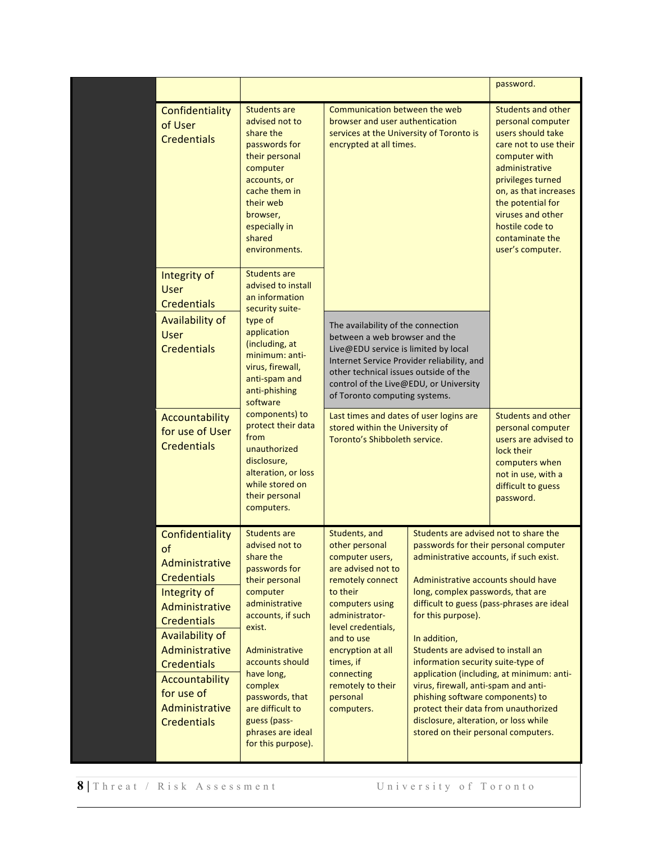|                                                                                                                                                                                                                                                                 |                                                                                                                                                                                                                                                                                                                    |                                                                                                                                                                                                                                                                                  |                                                                                                                                                                                                                                                                                                                                                                                                                                                                                                                             | password.                                                                                                                                                                                                                                                                         |
|-----------------------------------------------------------------------------------------------------------------------------------------------------------------------------------------------------------------------------------------------------------------|--------------------------------------------------------------------------------------------------------------------------------------------------------------------------------------------------------------------------------------------------------------------------------------------------------------------|----------------------------------------------------------------------------------------------------------------------------------------------------------------------------------------------------------------------------------------------------------------------------------|-----------------------------------------------------------------------------------------------------------------------------------------------------------------------------------------------------------------------------------------------------------------------------------------------------------------------------------------------------------------------------------------------------------------------------------------------------------------------------------------------------------------------------|-----------------------------------------------------------------------------------------------------------------------------------------------------------------------------------------------------------------------------------------------------------------------------------|
| Confidentiality<br>of User<br><b>Credentials</b>                                                                                                                                                                                                                | <b>Students are</b><br>advised not to<br>share the<br>passwords for<br>their personal<br>computer<br>accounts, or<br>cache them in<br>their web<br>browser,<br>especially in<br>shared<br>environments.                                                                                                            | Communication between the web<br>browser and user authentication<br>services at the University of Toronto is<br>encrypted at all times.                                                                                                                                          |                                                                                                                                                                                                                                                                                                                                                                                                                                                                                                                             | <b>Students and other</b><br>personal computer<br>users should take<br>care not to use their<br>computer with<br>administrative<br>privileges turned<br>on, as that increases<br>the potential for<br>viruses and other<br>hostile code to<br>contaminate the<br>user's computer. |
| Integrity of<br><b>User</b><br><b>Credentials</b><br>Availability of<br><b>User</b><br><b>Credentials</b>                                                                                                                                                       | <b>Students are</b><br>advised to install<br>an information<br>security suite-<br>type of<br>application<br>(including, at<br>minimum: anti-<br>virus, firewall,<br>anti-spam and<br>anti-phishing<br>software                                                                                                     | The availability of the connection<br>between a web browser and the<br>Live@EDU service is limited by local<br>Internet Service Provider reliability, and<br>other technical issues outside of the<br>control of the Live@EDU, or University<br>of Toronto computing systems.    |                                                                                                                                                                                                                                                                                                                                                                                                                                                                                                                             |                                                                                                                                                                                                                                                                                   |
| Accountability<br>for use of User<br><b>Credentials</b>                                                                                                                                                                                                         | components) to<br>protect their data<br>from<br>unauthorized<br>disclosure,<br>alteration, or loss<br>while stored on<br>their personal<br>computers.                                                                                                                                                              | Last times and dates of user logins are<br>stored within the University of<br>Toronto's Shibboleth service.                                                                                                                                                                      |                                                                                                                                                                                                                                                                                                                                                                                                                                                                                                                             | <b>Students and other</b><br>personal computer<br>users are advised to<br>lock their<br>computers when<br>not in use, with a<br>difficult to guess<br>password.                                                                                                                   |
| Confidentiality<br>of<br>Administrative<br><b>Credentials</b><br>Integrity of<br>Administrative<br><b>Credentials</b><br><b>Availability of</b><br>Administrative<br><b>Credentials</b><br>Accountability<br>for use of<br>Administrative<br><b>Credentials</b> | <b>Students are</b><br>advised not to<br>share the<br>passwords for<br>their personal<br>computer<br>administrative<br>accounts, if such<br>exist.<br>Administrative<br>accounts should<br>have long,<br>complex<br>passwords, that<br>are difficult to<br>guess (pass-<br>phrases are ideal<br>for this purpose). | Students, and<br>other personal<br>computer users,<br>are advised not to<br>remotely connect<br>to their<br>computers using<br>administrator-<br>level credentials,<br>and to use<br>encryption at all<br>times, if<br>connecting<br>remotely to their<br>personal<br>computers. | Students are advised not to share the<br>passwords for their personal computer<br>administrative accounts, if such exist.<br>Administrative accounts should have<br>long, complex passwords, that are<br>for this purpose).<br>In addition,<br>Students are advised to install an<br>information security suite-type of<br>virus, firewall, anti-spam and anti-<br>phishing software components) to<br>protect their data from unauthorized<br>disclosure, alteration, or loss while<br>stored on their personal computers. | difficult to guess (pass-phrases are ideal<br>application (including, at minimum: anti-                                                                                                                                                                                           |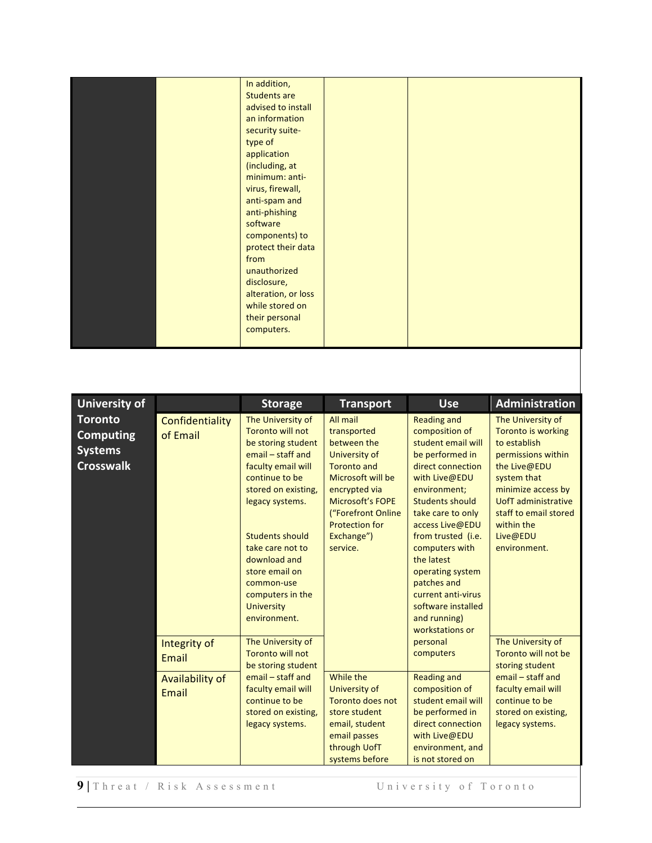|  | In addition,        |  |  |
|--|---------------------|--|--|
|  | <b>Students are</b> |  |  |
|  | advised to install  |  |  |
|  | an information      |  |  |
|  | security suite-     |  |  |
|  | type of             |  |  |
|  | application         |  |  |
|  | (including, at      |  |  |
|  | minimum: anti-      |  |  |
|  | virus, firewall,    |  |  |
|  | anti-spam and       |  |  |
|  | anti-phishing       |  |  |
|  | software            |  |  |
|  | components) to      |  |  |
|  | protect their data  |  |  |
|  | from                |  |  |
|  | unauthorized        |  |  |
|  | disclosure,         |  |  |
|  | alteration, or loss |  |  |
|  | while stored on     |  |  |
|  | their personal      |  |  |
|  | computers.          |  |  |
|  |                     |  |  |

| <b>University of</b>                                                     |                             | <b>Storage</b>                                                                                                                                                                                                                                                                                                            | <b>Transport</b>                                                                                                                                                                                                        | <b>Use</b>                                                                                                                                                                                                                                                                                                                                                                    | Administration                                                                                                                                                                                                                      |
|--------------------------------------------------------------------------|-----------------------------|---------------------------------------------------------------------------------------------------------------------------------------------------------------------------------------------------------------------------------------------------------------------------------------------------------------------------|-------------------------------------------------------------------------------------------------------------------------------------------------------------------------------------------------------------------------|-------------------------------------------------------------------------------------------------------------------------------------------------------------------------------------------------------------------------------------------------------------------------------------------------------------------------------------------------------------------------------|-------------------------------------------------------------------------------------------------------------------------------------------------------------------------------------------------------------------------------------|
| <b>Toronto</b><br><b>Computing</b><br><b>Systems</b><br><b>Crosswalk</b> | Confidentiality<br>of Email | The University of<br><b>Toronto will not</b><br>be storing student<br>email - staff and<br>faculty email will<br>continue to be<br>stored on existing,<br>legacy systems.<br><b>Students should</b><br>take care not to<br>download and<br>store email on<br>common-use<br>computers in the<br>University<br>environment. | All mail<br>transported<br>between the<br>University of<br><b>Toronto and</b><br>Microsoft will be<br>encrypted via<br><b>Microsoft's FOPE</b><br>("Forefront Online<br><b>Protection for</b><br>Exchange")<br>service. | <b>Reading and</b><br>composition of<br>student email will<br>be performed in<br>direct connection<br>with Live@EDU<br>environment;<br><b>Students should</b><br>take care to only<br>access Live@EDU<br>from trusted (i.e.<br>computers with<br>the latest<br>operating system<br>patches and<br>current anti-virus<br>software installed<br>and running)<br>workstations or | The University of<br><b>Toronto is working</b><br>to establish<br>permissions within<br>the Live@EDU<br>system that<br>minimize access by<br>UofT administrative<br>staff to email stored<br>within the<br>Live@EDU<br>environment. |
|                                                                          | Integrity of<br>Email       | The University of<br>Toronto will not<br>be storing student                                                                                                                                                                                                                                                               |                                                                                                                                                                                                                         | personal<br>computers                                                                                                                                                                                                                                                                                                                                                         | The University of<br>Toronto will not be<br>storing student                                                                                                                                                                         |
|                                                                          | Availability of<br>Email    | email - staff and<br>faculty email will<br>continue to be<br>stored on existing,<br>legacy systems.                                                                                                                                                                                                                       | While the<br>University of<br><b>Toronto does not</b><br>store student<br>email, student<br>email passes<br>through UofT<br>systems before                                                                              | <b>Reading and</b><br>composition of<br>student email will<br>be performed in<br>direct connection<br>with Live@EDU<br>environment, and<br>is not stored on                                                                                                                                                                                                                   | email - staff and<br>faculty email will<br>continue to be<br>stored on existing,<br>legacy systems.                                                                                                                                 |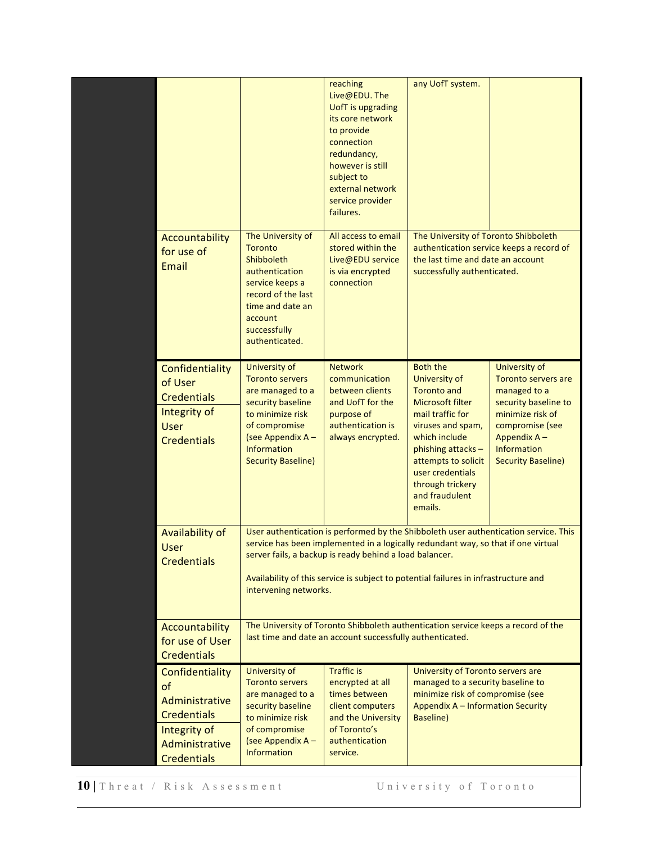|                                                                                                                       |                                                                                                                                                                                                                                                                                                                                                      | reaching<br>Live@EDU. The<br><b>UofT</b> is upgrading<br>its core network<br>to provide<br>connection<br>redundancy,<br>however is still<br>subject to<br>external network<br>service provider<br>failures. | any UofT system.                                                                                                                                                                                                                                              |                                                                                                                                                                                              |
|-----------------------------------------------------------------------------------------------------------------------|------------------------------------------------------------------------------------------------------------------------------------------------------------------------------------------------------------------------------------------------------------------------------------------------------------------------------------------------------|-------------------------------------------------------------------------------------------------------------------------------------------------------------------------------------------------------------|---------------------------------------------------------------------------------------------------------------------------------------------------------------------------------------------------------------------------------------------------------------|----------------------------------------------------------------------------------------------------------------------------------------------------------------------------------------------|
| Accountability<br>for use of<br>Email                                                                                 | The University of<br><b>Toronto</b><br>Shibboleth<br>authentication<br>service keeps a<br>record of the last<br>time and date an<br>account<br>successfully<br>authenticated.                                                                                                                                                                        | All access to email<br>stored within the<br>Live@EDU service<br>is via encrypted<br>connection                                                                                                              | The University of Toronto Shibboleth<br>the last time and date an account<br>successfully authenticated.                                                                                                                                                      | authentication service keeps a record of                                                                                                                                                     |
| Confidentiality<br>of User<br><b>Credentials</b><br>Integrity of<br><b>User</b><br><b>Credentials</b>                 | University of<br><b>Toronto servers</b><br>are managed to a<br>security baseline<br>to minimize risk<br>of compromise<br>(see Appendix A -<br><b>Information</b><br><b>Security Baseline)</b>                                                                                                                                                        | <b>Network</b><br>communication<br>between clients<br>and UofT for the<br>purpose of<br>authentication is<br>always encrypted.                                                                              | <b>Both the</b><br><b>University of</b><br><b>Toronto and</b><br>Microsoft filter<br>mail traffic for<br>viruses and spam,<br>which include<br>phishing attacks -<br>attempts to solicit<br>user credentials<br>through trickery<br>and fraudulent<br>emails. | University of<br><b>Toronto servers are</b><br>managed to a<br>security baseline to<br>minimize risk of<br>compromise (see<br>Appendix A-<br><b>Information</b><br><b>Security Baseline)</b> |
| Availability of<br><b>User</b><br><b>Credentials</b>                                                                  | User authentication is performed by the Shibboleth user authentication service. This<br>service has been implemented in a logically redundant way, so that if one virtual<br>server fails, a backup is ready behind a load balancer.<br>Availability of this service is subject to potential failures in infrastructure and<br>intervening networks. |                                                                                                                                                                                                             |                                                                                                                                                                                                                                                               |                                                                                                                                                                                              |
| Accountability<br>for use of User<br><b>Credentials</b>                                                               |                                                                                                                                                                                                                                                                                                                                                      | The University of Toronto Shibboleth authentication service keeps a record of the<br>last time and date an account successfully authenticated.                                                              |                                                                                                                                                                                                                                                               |                                                                                                                                                                                              |
| Confidentiality<br>of<br>Administrative<br><b>Credentials</b><br>Integrity of<br>Administrative<br><b>Credentials</b> | University of<br><b>Toronto servers</b><br>are managed to a<br>security baseline<br>to minimize risk<br>of compromise<br>(see Appendix A-<br><b>Information</b>                                                                                                                                                                                      | <b>Traffic is</b><br>encrypted at all<br>times between<br>client computers<br>and the University<br>of Toronto's<br>authentication<br>service.                                                              | University of Toronto servers are<br>managed to a security baseline to<br>minimize risk of compromise (see<br>Appendix A - Information Security<br>Baseline)                                                                                                  |                                                                                                                                                                                              |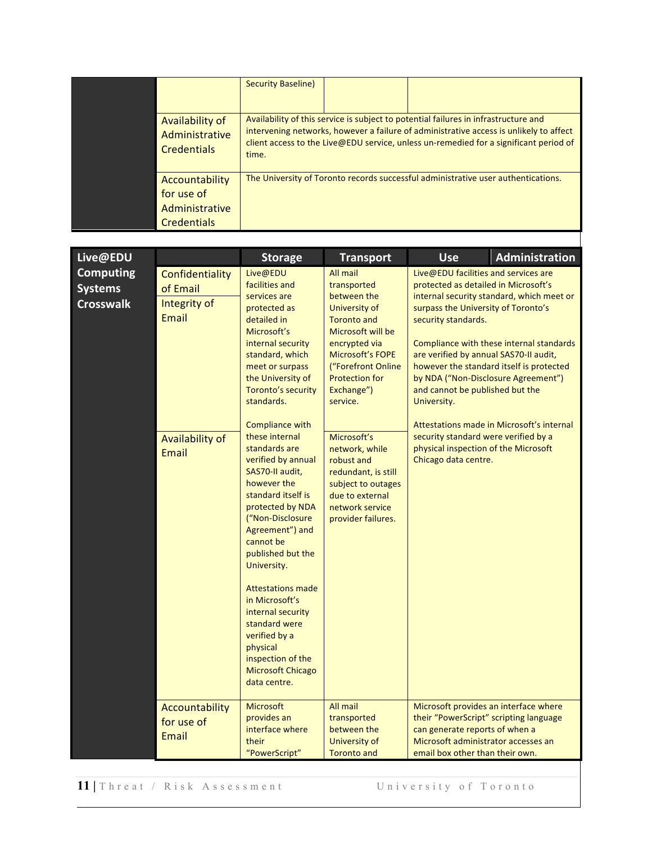|                                                                      | <b>Security Baseline)</b> |                                                                                                                                                                                                                                                                        |
|----------------------------------------------------------------------|---------------------------|------------------------------------------------------------------------------------------------------------------------------------------------------------------------------------------------------------------------------------------------------------------------|
| Availability of<br>Administrative<br><b>Credentials</b>              | time.                     | Availability of this service is subject to potential failures in infrastructure and<br>intervening networks, however a failure of administrative access is unlikely to affect<br>client access to the Live@EDU service, unless un-remedied for a significant period of |
| Accountability<br>for use of<br>Administrative<br><b>Credentials</b> |                           | The University of Toronto records successful administrative user authentications.                                                                                                                                                                                      |

| Live@EDU                                               |                                                                                         | <b>Storage</b>                                                                                                                                                                                                                                                                                                                                                                                                                                                                                                                                                                                                                                        | <b>Transport</b>                                                                                                                                                                                                                                                                                                                                                                | <b>Use</b>                                                                                                                                                                                                                                                                                                                                                                            | Administration                                                                                                                                                                 |
|--------------------------------------------------------|-----------------------------------------------------------------------------------------|-------------------------------------------------------------------------------------------------------------------------------------------------------------------------------------------------------------------------------------------------------------------------------------------------------------------------------------------------------------------------------------------------------------------------------------------------------------------------------------------------------------------------------------------------------------------------------------------------------------------------------------------------------|---------------------------------------------------------------------------------------------------------------------------------------------------------------------------------------------------------------------------------------------------------------------------------------------------------------------------------------------------------------------------------|---------------------------------------------------------------------------------------------------------------------------------------------------------------------------------------------------------------------------------------------------------------------------------------------------------------------------------------------------------------------------------------|--------------------------------------------------------------------------------------------------------------------------------------------------------------------------------|
| <b>Computing</b><br><b>Systems</b><br><b>Crosswalk</b> | Confidentiality<br>of Email<br>Integrity of<br><b>Fmail</b><br>Availability of<br>Email | Live@EDU<br>facilities and<br>services are<br>protected as<br>detailed in<br>Microsoft's<br>internal security<br>standard, which<br>meet or surpass<br>the University of<br>Toronto's security<br>standards.<br><b>Compliance with</b><br>these internal<br>standards are<br>verified by annual<br>SAS70-II audit,<br>however the<br>standard itself is<br>protected by NDA<br>("Non-Disclosure<br>Agreement") and<br>cannot be<br>published but the<br>University.<br><b>Attestations made</b><br>in Microsoft's<br>internal security<br>standard were<br>verified by a<br>physical<br>inspection of the<br><b>Microsoft Chicago</b><br>data centre. | All mail<br>transported<br>between the<br>University of<br><b>Toronto and</b><br>Microsoft will be<br>encrypted via<br><b>Microsoft's FOPE</b><br>("Forefront Online<br><b>Protection for</b><br>Exchange")<br>service.<br>Microsoft's<br>network, while<br>robust and<br>redundant, is still<br>subject to outages<br>due to external<br>network service<br>provider failures. | Live@EDU facilities and services are<br>protected as detailed in Microsoft's<br>surpass the University of Toronto's<br>security standards.<br>are verified by annual SAS70-II audit,<br>by NDA ("Non-Disclosure Agreement")<br>and cannot be published but the<br>University.<br>security standard were verified by a<br>physical inspection of the Microsoft<br>Chicago data centre. | internal security standard, which meet or<br>Compliance with these internal standards<br>however the standard itself is protected<br>Attestations made in Microsoft's internal |
|                                                        | Accountability<br>for use of<br>Email                                                   | <b>Microsoft</b><br>provides an<br>interface where<br>their<br>"PowerScript"                                                                                                                                                                                                                                                                                                                                                                                                                                                                                                                                                                          | All mail<br>transported<br>between the<br>University of<br><b>Toronto and</b>                                                                                                                                                                                                                                                                                                   | Microsoft provides an interface where<br>their "PowerScript" scripting language<br>can generate reports of when a<br>Microsoft administrator accesses an<br>email box other than their own.                                                                                                                                                                                           |                                                                                                                                                                                |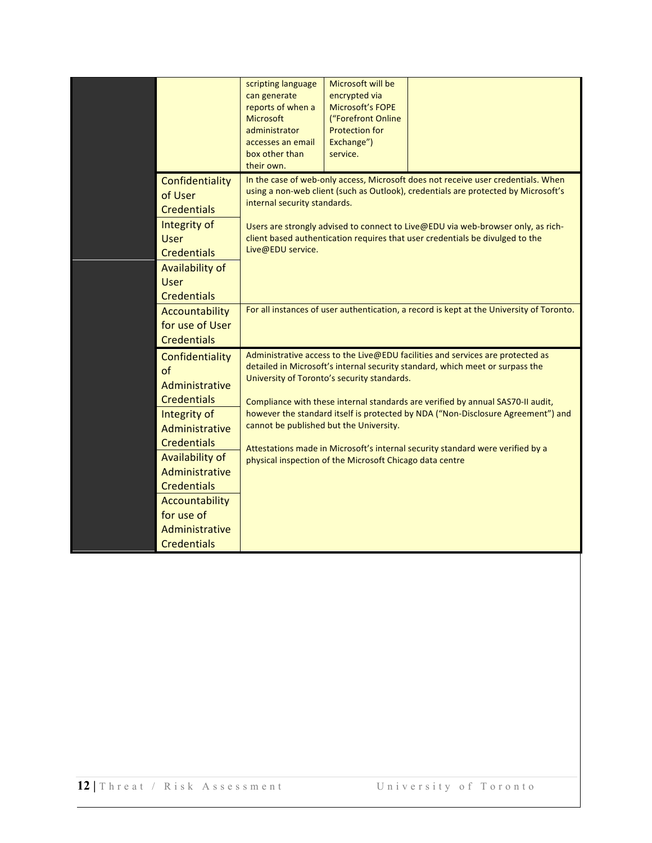|                                                                                                                                                                                                                                                          | scripting language<br>can generate<br>reports of when a<br><b>Microsoft</b><br>administrator<br>accesses an email<br>box other than<br>their own. | Microsoft will be<br>encrypted via<br><b>Microsoft's FOPE</b><br>("Forefront Online<br><b>Protection for</b><br>Exchange")<br>service.             |                                                                                                                                                                                                                                                                                                                                                                                                                                          |
|----------------------------------------------------------------------------------------------------------------------------------------------------------------------------------------------------------------------------------------------------------|---------------------------------------------------------------------------------------------------------------------------------------------------|----------------------------------------------------------------------------------------------------------------------------------------------------|------------------------------------------------------------------------------------------------------------------------------------------------------------------------------------------------------------------------------------------------------------------------------------------------------------------------------------------------------------------------------------------------------------------------------------------|
| Confidentiality<br>of User<br><b>Credentials</b><br>Integrity of<br><b>User</b><br><b>Credentials</b><br>Availability of<br><b>User</b><br><b>Credentials</b><br>Accountability                                                                          | internal security standards.<br>Live@EDU service.                                                                                                 |                                                                                                                                                    | In the case of web-only access, Microsoft does not receive user credentials. When<br>using a non-web client (such as Outlook), credentials are protected by Microsoft's<br>Users are strongly advised to connect to Live@EDU via web-browser only, as rich-<br>client based authentication requires that user credentials be divulged to the<br>For all instances of user authentication, a record is kept at the University of Toronto. |
| for use of User<br><b>Credentials</b>                                                                                                                                                                                                                    |                                                                                                                                                   |                                                                                                                                                    |                                                                                                                                                                                                                                                                                                                                                                                                                                          |
| Confidentiality<br>of<br>Administrative<br><b>Credentials</b><br>Integrity of<br>Administrative<br><b>Credentials</b><br>Availability of<br>Administrative<br><b>Credentials</b><br>Accountability<br>for use of<br>Administrative<br><b>Credentials</b> |                                                                                                                                                   | University of Toronto's security standards.<br>cannot be published but the University.<br>physical inspection of the Microsoft Chicago data centre | Administrative access to the Live@EDU facilities and services are protected as<br>detailed in Microsoft's internal security standard, which meet or surpass the<br>Compliance with these internal standards are verified by annual SAS70-II audit,<br>however the standard itself is protected by NDA ("Non-Disclosure Agreement") and<br>Attestations made in Microsoft's internal security standard were verified by a                 |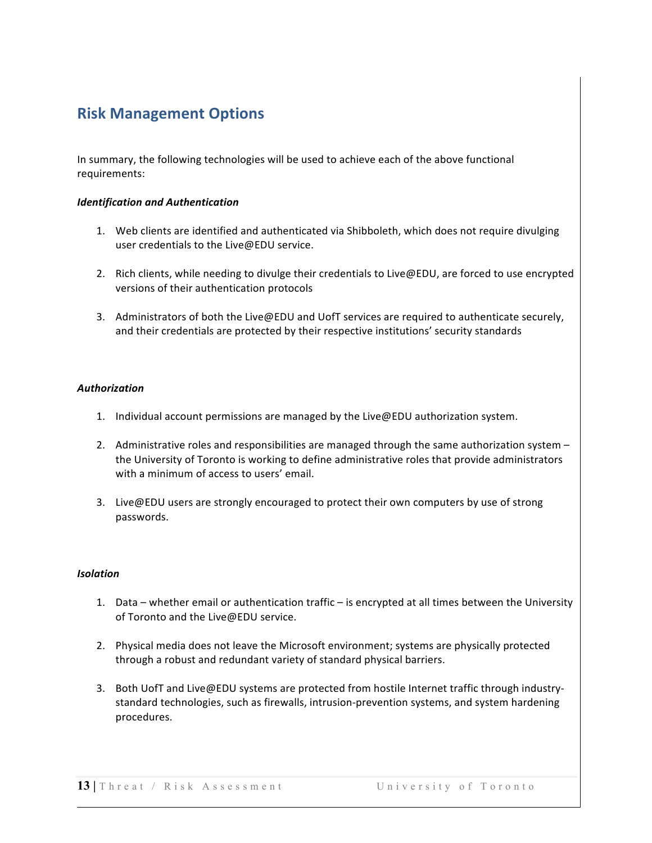## **Risk Management Options**

In summary, the following technologies will be used to achieve each of the above functional requirements:

#### *Identification and Authentication*

- 1. Web clients are identified and authenticated via Shibboleth, which does not require divulging user credentials to the Live@EDU service.
- 2. Rich clients, while needing to divulge their credentials to Live@EDU, are forced to use encrypted versions of their authentication protocols
- 3. Administrators of both the Live@EDU and UofT services are required to authenticate securely, and their credentials are protected by their respective institutions' security standards

#### *Authorization*

- 1. Individual account permissions are managed by the Live@EDU authorization system.
- 2. Administrative roles and responsibilities are managed through the same authorization system  $$ the University of Toronto is working to define administrative roles that provide administrators with a minimum of access to users' email.
- 3. Live@EDU users are strongly encouraged to protect their own computers by use of strong passwords.

#### *Isolation*

- 1. Data whether email or authentication traffic is encrypted at all times between the University of Toronto and the Live@EDU service.
- 2. Physical media does not leave the Microsoft environment; systems are physically protected through a robust and redundant variety of standard physical barriers.
- 3. Both UofT and Live@EDU systems are protected from hostile Internet traffic through industrystandard technologies, such as firewalls, intrusion-prevention systems, and system hardening procedures.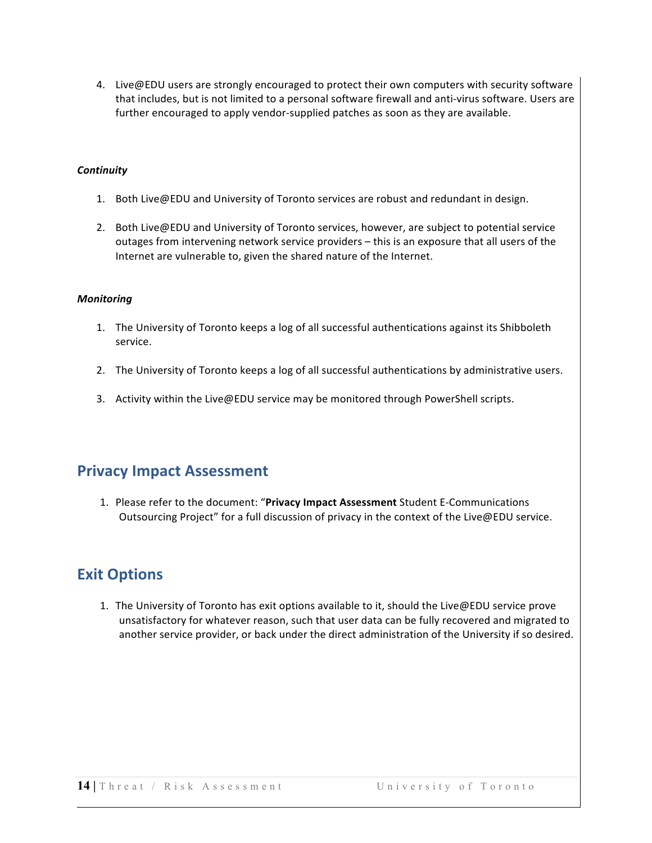4. Live@EDU users are strongly encouraged to protect their own computers with security software that includes, but is not limited to a personal software firewall and anti-virus software. Users are further encouraged to apply vendor-supplied patches as soon as they are available.

#### *Continuity*

- 1. Both Live@EDU and University of Toronto services are robust and redundant in design.
- 2. Both Live@EDU and University of Toronto services, however, are subject to potential service outages from intervening network service providers  $-$  this is an exposure that all users of the Internet are vulnerable to, given the shared nature of the Internet.

#### *Monitoring*

- 1. The University of Toronto keeps a log of all successful authentications against its Shibboleth service.
- 2. The University of Toronto keeps a log of all successful authentications by administrative users.
- 3. Activity within the Live@EDU service may be monitored through PowerShell scripts.

#### **Privacy Impact Assessment**

1. Please refer to the document: "Privacy Impact Assessment Student E-Communications Outsourcing Project" for a full discussion of privacy in the context of the Live@EDU service.

### **Exit Options**

1. The University of Toronto has exit options available to it, should the Live@EDU service prove unsatisfactory for whatever reason, such that user data can be fully recovered and migrated to another service provider, or back under the direct administration of the University if so desired.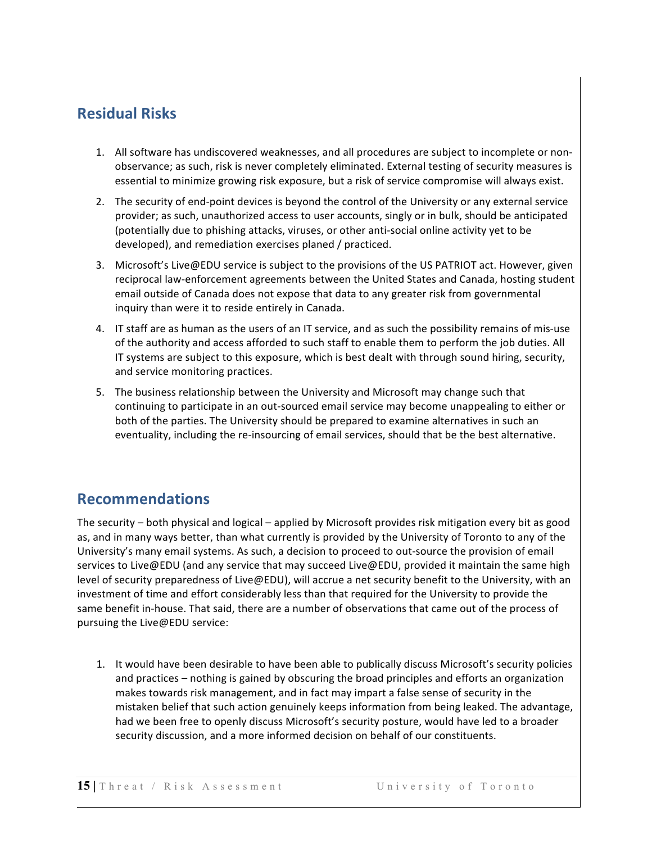## **Residual Risks**

- 1. All software has undiscovered weaknesses, and all procedures are subject to incomplete or nonobservance; as such, risk is never completely eliminated. External testing of security measures is essential to minimize growing risk exposure, but a risk of service compromise will always exist.
- 2. The security of end-point devices is beyond the control of the University or any external service provider; as such, unauthorized access to user accounts, singly or in bulk, should be anticipated (potentially due to phishing attacks, viruses, or other anti-social online activity yet to be developed), and remediation exercises planed / practiced.
- 3. Microsoft's Live@EDU service is subject to the provisions of the US PATRIOT act. However, given reciprocal law-enforcement agreements between the United States and Canada, hosting student email outside of Canada does not expose that data to any greater risk from governmental inquiry than were it to reside entirely in Canada.
- 4. IT staff are as human as the users of an IT service, and as such the possibility remains of mis-use of the authority and access afforded to such staff to enable them to perform the job duties. All IT systems are subject to this exposure, which is best dealt with through sound hiring, security, and service monitoring practices.
- 5. The business relationship between the University and Microsoft may change such that continuing to participate in an out-sourced email service may become unappealing to either or both of the parties. The University should be prepared to examine alternatives in such an eventuality, including the re-insourcing of email services, should that be the best alternative.

### **Recommendations**

The security – both physical and logical – applied by Microsoft provides risk mitigation every bit as good as, and in many ways better, than what currently is provided by the University of Toronto to any of the University's many email systems. As such, a decision to proceed to out-source the provision of email services to Live@EDU (and any service that may succeed Live@EDU, provided it maintain the same high level of security preparedness of Live@EDU), will accrue a net security benefit to the University, with an investment of time and effort considerably less than that required for the University to provide the same benefit in-house. That said, there are a number of observations that came out of the process of pursuing the Live@EDU service:

1. It would have been desirable to have been able to publically discuss Microsoft's security policies and practices – nothing is gained by obscuring the broad principles and efforts an organization makes towards risk management, and in fact may impart a false sense of security in the mistaken belief that such action genuinely keeps information from being leaked. The advantage, had we been free to openly discuss Microsoft's security posture, would have led to a broader security discussion, and a more informed decision on behalf of our constituents.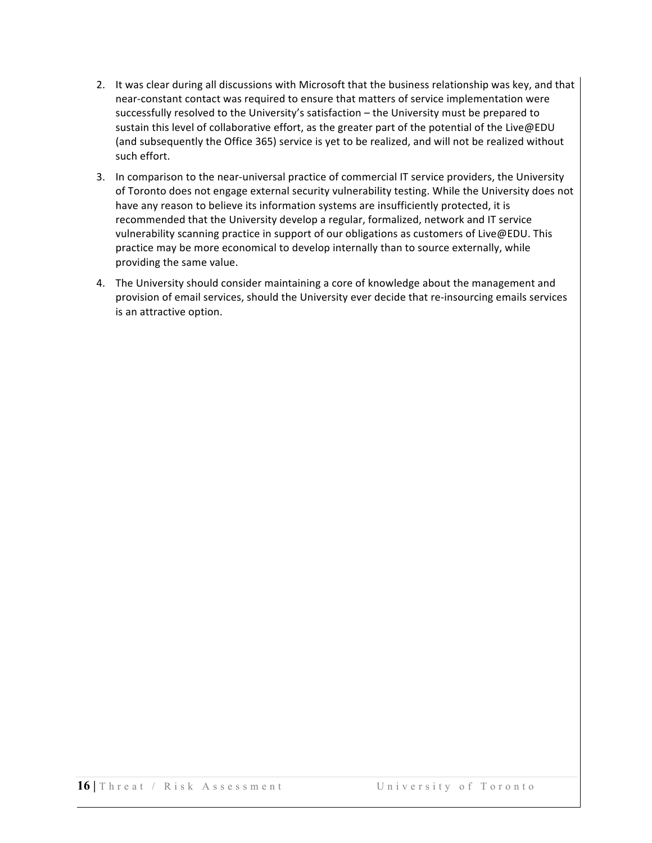- 2. It was clear during all discussions with Microsoft that the business relationship was key, and that near-constant contact was required to ensure that matters of service implementation were successfully resolved to the University's satisfaction – the University must be prepared to sustain this level of collaborative effort, as the greater part of the potential of the Live@EDU (and subsequently the Office 365) service is yet to be realized, and will not be realized without such effort.
- 3. In comparison to the near-universal practice of commercial IT service providers, the University of Toronto does not engage external security vulnerability testing. While the University does not have any reason to believe its information systems are insufficiently protected, it is recommended that the University develop a regular, formalized, network and IT service vulnerability scanning practice in support of our obligations as customers of Live@EDU. This practice may be more economical to develop internally than to source externally, while providing the same value.
- 4. The University should consider maintaining a core of knowledge about the management and provision of email services, should the University ever decide that re-insourcing emails services is an attractive option.